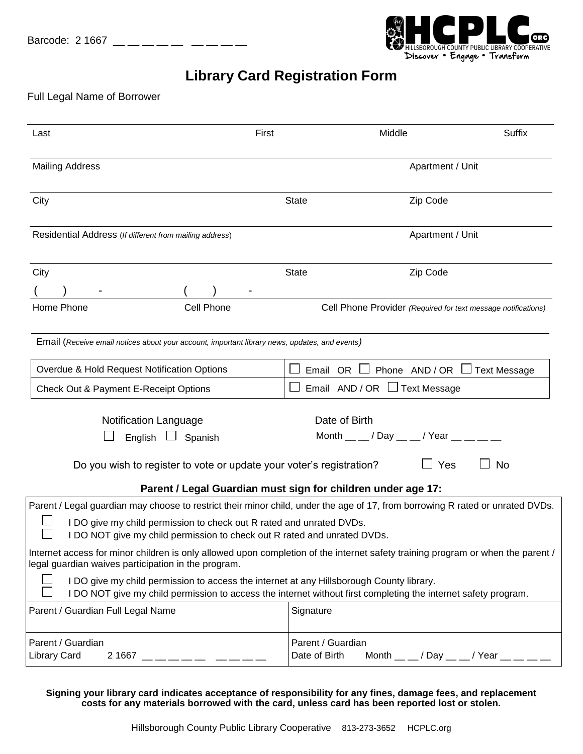

## **Library Card Registration Form**

## Full Legal Name of Borrower

| First<br>Last                                                                                                                                                                                                                                                                      | Middle                                                          | Suffix                                                        |  |  |
|------------------------------------------------------------------------------------------------------------------------------------------------------------------------------------------------------------------------------------------------------------------------------------|-----------------------------------------------------------------|---------------------------------------------------------------|--|--|
| <b>Mailing Address</b>                                                                                                                                                                                                                                                             |                                                                 | Apartment / Unit                                              |  |  |
| City                                                                                                                                                                                                                                                                               | <b>State</b>                                                    | Zip Code                                                      |  |  |
| Residential Address (If different from mailing address)                                                                                                                                                                                                                            |                                                                 | Apartment / Unit                                              |  |  |
| City                                                                                                                                                                                                                                                                               | <b>State</b>                                                    | Zip Code                                                      |  |  |
| Home Phone<br>Cell Phone                                                                                                                                                                                                                                                           |                                                                 | Cell Phone Provider (Required for text message notifications) |  |  |
| Email (Receive email notices about your account, important library news, updates, and events)                                                                                                                                                                                      |                                                                 |                                                               |  |  |
| Overdue & Hold Request Notification Options                                                                                                                                                                                                                                        | Email OR                                                        | Phone AND/OR<br><b>Text Message</b>                           |  |  |
| Check Out & Payment E-Receipt Options                                                                                                                                                                                                                                              | Email $AND / OR \Box$ Text Message                              |                                                               |  |  |
| <b>Notification Language</b><br>English<br>Spanish<br>Do you wish to register to vote or update your voter's registration?                                                                                                                                                         | Date of Birth<br>Month $\_\_$ / Day $\_\_$ / Year $\_\_$ $\_\_$ | $\Box$ Yes<br>No                                              |  |  |
| Parent / Legal Guardian must sign for children under age 17:                                                                                                                                                                                                                       |                                                                 |                                                               |  |  |
| Parent / Legal guardian may choose to restrict their minor child, under the age of 17, from borrowing R rated or unrated DVDs.<br>I DO give my child permission to check out R rated and unrated DVDs.<br>I DO NOT give my child permission to check out R rated and unrated DVDs. |                                                                 |                                                               |  |  |
| Internet access for minor children is only allowed upon completion of the internet safety training program or when the parent /<br>legal guardian waives participation in the program.                                                                                             |                                                                 |                                                               |  |  |
| I DO give my child permission to access the internet at any Hillsborough County library.<br>I DO NOT give my child permission to access the internet without first completing the internet safety program.                                                                         |                                                                 |                                                               |  |  |
| Parent / Guardian Full Legal Name                                                                                                                                                                                                                                                  | Signature                                                       |                                                               |  |  |
| Parent / Guardian<br>Library Card<br>$21667$ — — — — — — —                                                                                                                                                                                                                         | Parent / Guardian<br>Date of Birth                              | Month $\_\_$ / Day $\_\_$ / Year $\_\_$ $\_\_$                |  |  |

**Signing your library card indicates acceptance of responsibility for any fines, damage fees, and replacement costs for any materials borrowed with the card, unless card has been reported lost or stolen.**